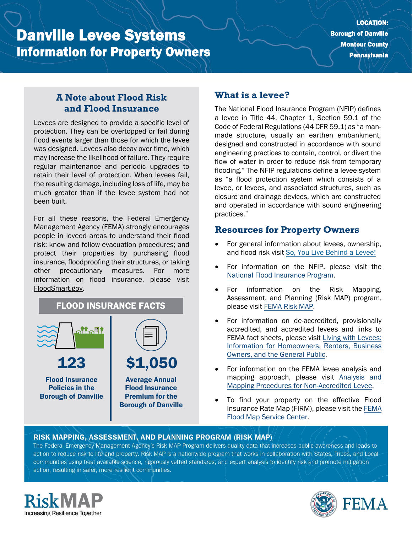# Danville Levee Systems Information for Property Owners

## **A Note about Flood Risk and Flood Insurance**

Levees are designed to provide a specific level of protection. They can be overtopped or fail during flood events larger than those for which the levee was designed. Levees also decay over time, which may increase the likelihood of failure. They require regular maintenance and periodic upgrades to retain their level of protection. When levees fail, the resulting damage, including loss of life, may be much greater than if the levee system had not been built.

For all these reasons, the Federal Emergency Management Agency (FEMA) strongly encourages people in leveed areas to understand their flood risk; know and follow evacuation procedures; and protect their properties by purchasing flood insurance, floodproofing their structures, or taking other precautionary measures. For more information on flood insurance, please visit [FloodSmart.gov.](https://www.floodsmart.gov/)

# FLOOD INSURANCE FACTS



# **What is a levee?**

The National Flood Insurance Program (NFIP) defines a levee in Title 44, Chapter 1, Section 59.1 of the Code of Federal Regulations (44 CFR 59.1) as "a manmade structure, usually an earthen embankment, designed and constructed in accordance with sound engineering practices to contain, control, or divert the flow of water in order to reduce risk from temporary flooding." The NFIP regulations define a levee system as "a flood protection system which consists of a levee, or levees, and associated structures, such as closure and drainage devices, which are constructed and operated in accordance with sound engineering practices."

#### **Resources for Property Owners**

- For general information about levees, ownership, and flood risk visit [So, You Live Behind a Levee!](https://ascelibrary.org/doi/book/10.1061/9780784410837)
- For information on th[e](https://www.fema.gov/national-flood-insurance-program) NFIP, please visit the [National Flood Insurance Program.](https://www.fema.gov/national-flood-insurance-program)
- For information on the Risk Mapping, Assessment, and Planning (Risk MAP) program, please visit [FEMA Risk MAP.](https://www.fema.gov/flood-maps/tools-resources/risk-map)
- For information on de-accredited, provisionally accredited, and accredited levees and links to FEMA fact sheets, please visit [Living with Levees:](https://www.fema.gov/flood-maps/living-levees) [Information for Homeowners, Renters, Business](https://www.fema.gov/flood-maps/living-levees) [Owners, and the General Public.](https://www.fema.gov/flood-maps/living-levees)
- For information on the FEMA levee analysis and mapping approach, please visit [Analysis and](https://www.fema.gov/media-library-data/20130726-1922-25045-4455/20130703_approachdocument_508.pdf) [Mapping Procedures for Non-Accredited Levee.](https://www.fema.gov/media-library-data/20130726-1922-25045-4455/20130703_approachdocument_508.pdf)
- To find your property on the effective Flood Insurance Rate Map (FIRM), please visit th[e FEMA](https://msc.fema.gov/portal/) [Flood Map Service Center.](https://msc.fema.gov/portal/)

#### RISK MAPPING, ASSESSMENT, AND PLANNING PROGRAM (RISK MAP)

The Federal Emergency Management Agency's Risk MAP Program delivers quality data that increases public awareness and leads to action to reduce risk to life and property. Risk MAP is a nationwide program that works in collaboration with States, Tribes, and Localcommunities using best available science, rigorously vetted standards, and expert analysis to identify risk and promote mitigation action, resulting in safer, more resilient communities.